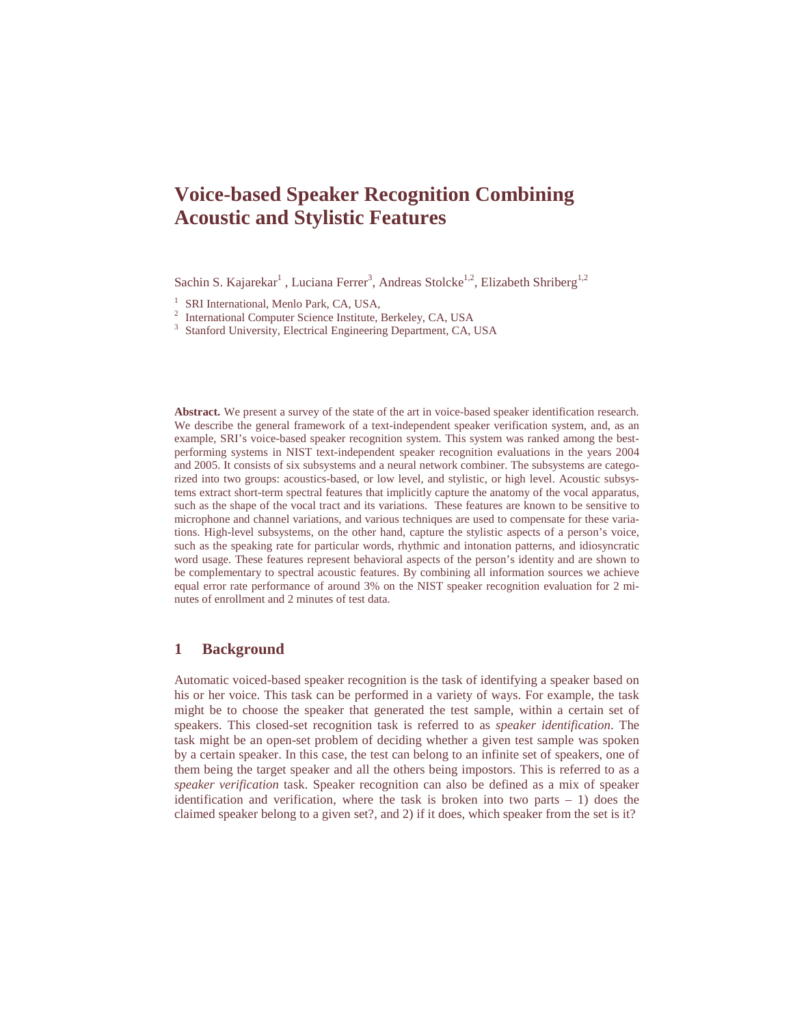# **Voice-based Speaker Recognition Combining Acoustic and Stylistic Features**

Sachin S. Kajarekar<sup>1</sup>, Luciana Ferrer<sup>3</sup>, Andreas Stolcke<sup>1,2</sup>, Elizabeth Shriberg<sup>1,2</sup>

**Abstract.** We present a survey of the state of the art in voice-based speaker identification research. We describe the general framework of a text-independent speaker verification system, and, as an example, SRI's voice-based speaker recognition system. This system was ranked among the bestperforming systems in NIST text-independent speaker recognition evaluations in the years 2004 and 2005. It consists of six subsystems and a neural network combiner. The subsystems are categorized into two groups: acoustics-based, or low level, and stylistic, or high level. Acoustic subsystems extract short-term spectral features that implicitly capture the anatomy of the vocal apparatus, such as the shape of the vocal tract and its variations. These features are known to be sensitive to microphone and channel variations, and various techniques are used to compensate for these variations. High-level subsystems, on the other hand, capture the stylistic aspects of a person's voice, such as the speaking rate for particular words, rhythmic and intonation patterns, and idiosyncratic word usage. These features represent behavioral aspects of the person's identity and are shown to be complementary to spectral acoustic features. By combining all information sources we achieve equal error rate performance of around 3% on the NIST speaker recognition evaluation for 2 minutes of enrollment and 2 minutes of test data.

## **1 Background**

Automatic voiced-based speaker recognition is the task of identifying a speaker based on his or her voice. This task can be performed in a variety of ways. For example, the task might be to choose the speaker that generated the test sample, within a certain set of speakers. This closed-set recognition task is referred to as *speaker identification*. The task might be an open-set problem of deciding whether a given test sample was spoken by a certain speaker. In this case, the test can belong to an infinite set of speakers, one of them being the target speaker and all the others being impostors. This is referred to as a *speaker verification* task. Speaker recognition can also be defined as a mix of speaker identification and verification, where the task is broken into two parts  $-1$ ) does the claimed speaker belong to a given set?, and 2) if it does, which speaker from the set is it?

<sup>&</sup>lt;sup>1</sup> SRI International, Menlo Park, CA, USA,<br><sup>2</sup> International Computer Science Institute, Berkeley, CA, USA<br><sup>3</sup> Stanford University, Electrical Engineering Department, CA, USA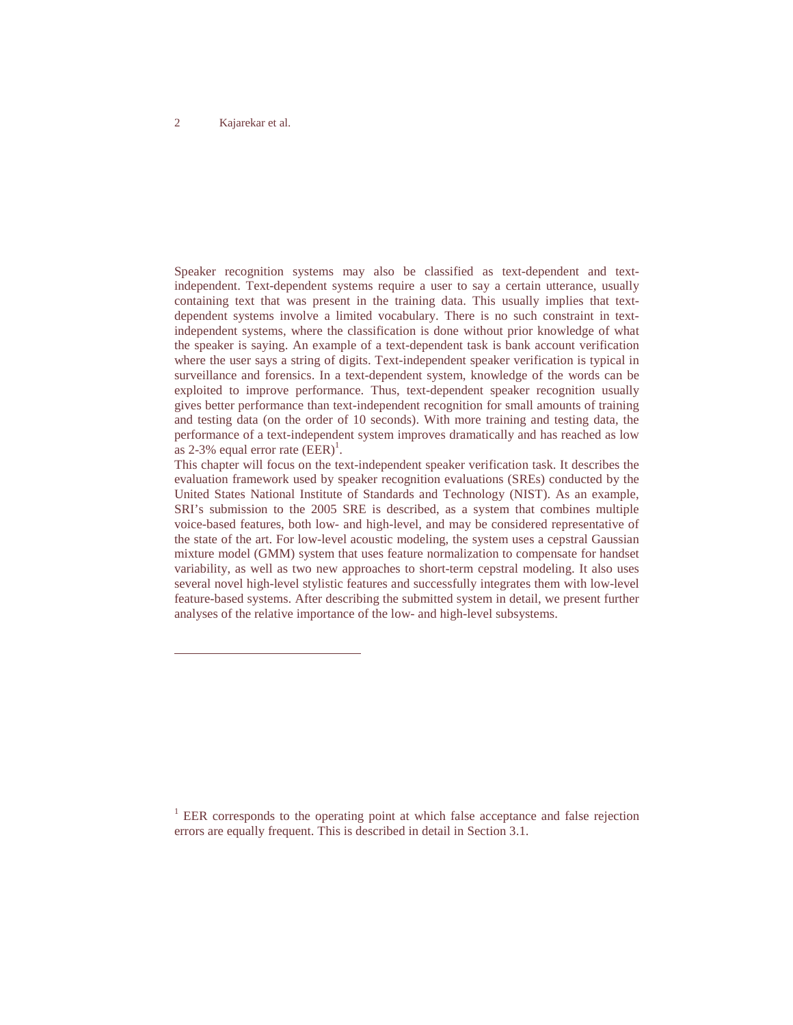2 Kajarekar et al.

Speaker recognition systems may also be classified as text-dependent and textindependent. Text-dependent systems require a user to say a certain utterance, usually containing text that was present in the training data. This usually implies that textdependent systems involve a limited vocabulary. There is no such constraint in textindependent systems, where the classification is done without prior knowledge of what the speaker is saying. An example of a text-dependent task is bank account verification where the user says a string of digits. Text-independent speaker verification is typical in surveillance and forensics. In a text-dependent system, knowledge of the words can be exploited to improve performance. Thus, text-dependent speaker recognition usually gives better performance than text-independent recognition for small amounts of training and testing data (on the order of 10 seconds). With more training and testing data, the performance of a text-independent system improves dramatically and has reached as low as 2-3% equal error rate  $(EER)^1$ .

This chapter will focus on the text-independent speaker verification task. It describes the evaluation framework used by speaker recognition evaluations (SREs) conducted by the United States National Institute of Standards and Technology (NIST). As an example, SRI's submission to the 2005 SRE is described, as a system that combines multiple voice-based features, both low- and high-level, and may be considered representative of the state of the art. For low-level acoustic modeling, the system uses a cepstral Gaussian mixture model (GMM) system that uses feature normalization to compensate for handset variability, as well as two new approaches to short-term cepstral modeling. It also uses several novel high-level stylistic features and successfully integrates them with low-level feature-based systems. After describing the submitted system in detail, we present further analyses of the relative importance of the low- and high-level subsystems.

<sup>1</sup> EER corresponds to the operating point at which false acceptance and false rejection errors are equally frequent. This is described in detail in Section 3.1.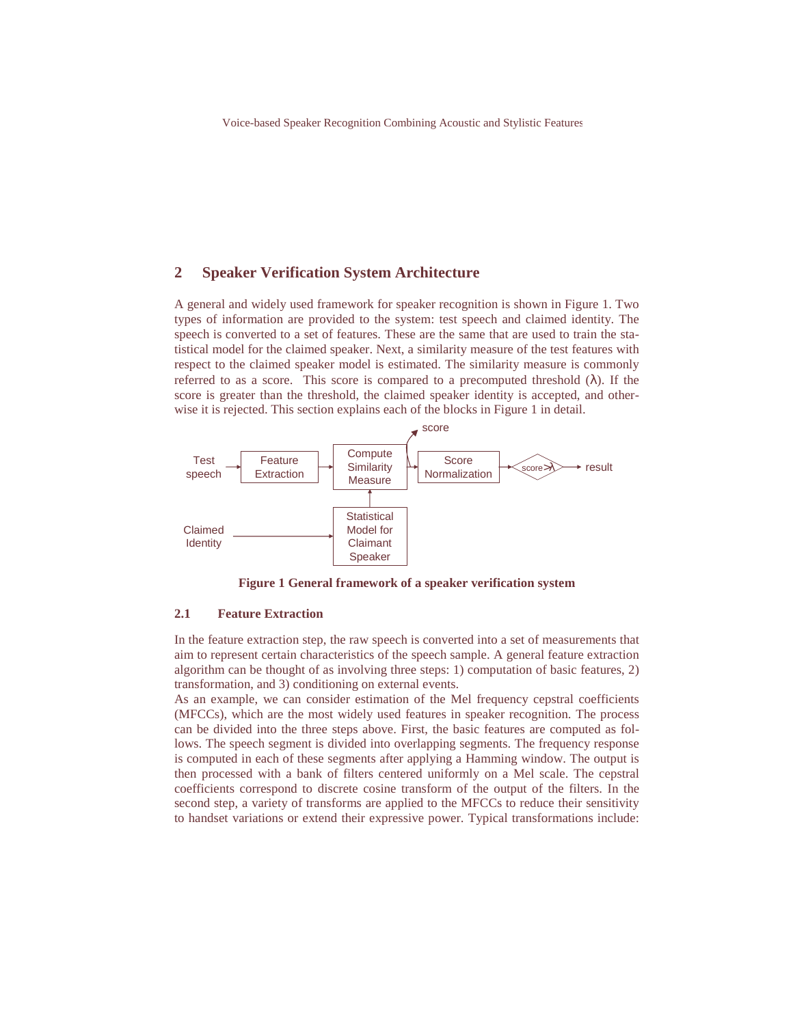# **2 Speaker Verification System Architecture**

A general and widely used framework for speaker recognition is shown in Figure 1. Two types of information are provided to the system: test speech and claimed identity. The speech is converted to a set of features. These are the same that are used to train the statistical model for the claimed speaker. Next, a similarity measure of the test features with respect to the claimed speaker model is estimated. The similarity measure is commonly referred to as a score. This score is compared to a precomputed threshold (λ). If the score is greater than the threshold, the claimed speaker identity is accepted, and otherwise it is rejected. This section explains each of the blocks in Figure 1 in detail.



**Figure 1 General framework of a speaker verification system**

#### **2.1 Feature Extraction**

In the feature extraction step, the raw speech is converted into a set of measurements that aim to represent certain characteristics of the speech sample. A general feature extraction algorithm can be thought of as involving three steps: 1) computation of basic features, 2) transformation, and 3) conditioning on external events.

As an example, we can consider estimation of the Mel frequency cepstral coefficients (MFCCs), which are the most widely used features in speaker recognition. The process can be divided into the three steps above. First, the basic features are computed as follows. The speech segment is divided into overlapping segments. The frequency response is computed in each of these segments after applying a Hamming window. The output is then processed with a bank of filters centered uniformly on a Mel scale. The cepstral coefficients correspond to discrete cosine transform of the output of the filters. In the second step, a variety of transforms are applied to the MFCCs to reduce their sensitivity to handset variations or extend their expressive power. Typical transformations include: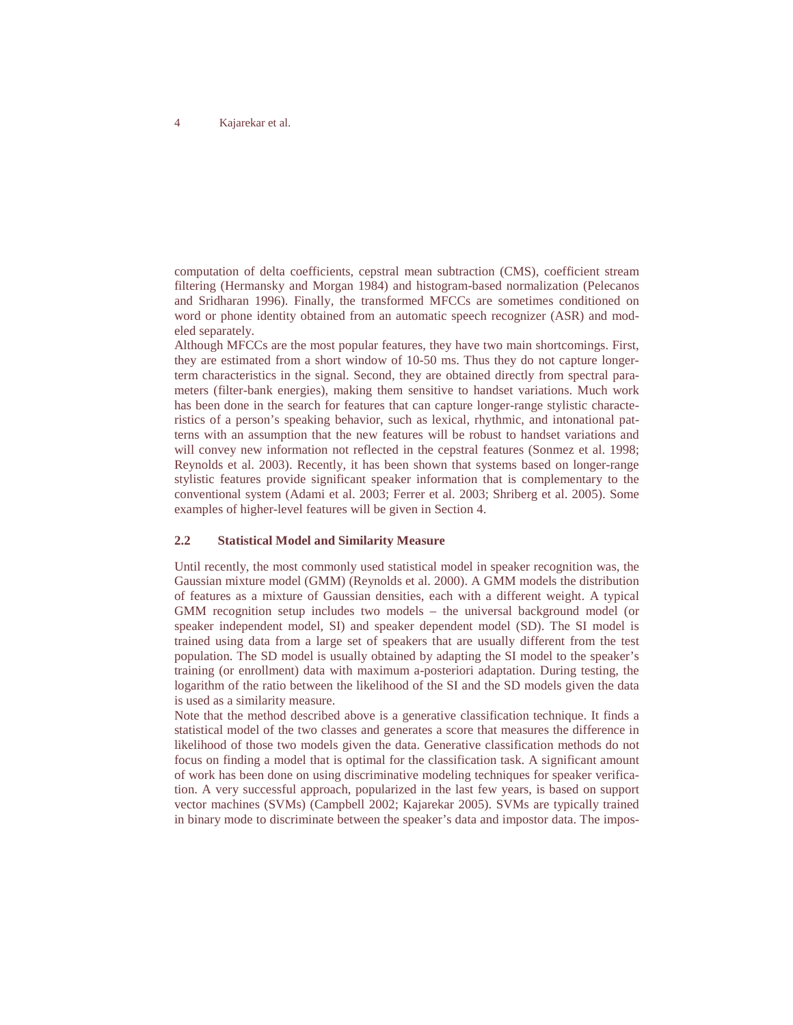4 Kajarekar et al.

computation of delta coefficients, cepstral mean subtraction (CMS), coefficient stream filtering (Hermansky and Morgan 1984) and histogram-based normalization (Pelecanos and Sridharan 1996). Finally, the transformed MFCCs are sometimes conditioned on word or phone identity obtained from an automatic speech recognizer (ASR) and modeled separately.

Although MFCCs are the most popular features, they have two main shortcomings. First, they are estimated from a short window of 10-50 ms. Thus they do not capture longerterm characteristics in the signal. Second, they are obtained directly from spectral parameters (filter-bank energies), making them sensitive to handset variations. Much work has been done in the search for features that can capture longer-range stylistic characteristics of a person's speaking behavior, such as lexical, rhythmic, and intonational patterns with an assumption that the new features will be robust to handset variations and will convey new information not reflected in the cepstral features (Sonmez et al. 1998; Reynolds et al. 2003). Recently, it has been shown that systems based on longer-range stylistic features provide significant speaker information that is complementary to the conventional system (Adami et al. 2003; Ferrer et al. 2003; Shriberg et al. 2005). Some examples of higher-level features will be given in Section 4.

# **2.2 Statistical Model and Similarity Measure**

Until recently, the most commonly used statistical model in speaker recognition was, the Gaussian mixture model (GMM) (Reynolds et al. 2000). A GMM models the distribution of features as a mixture of Gaussian densities, each with a different weight. A typical GMM recognition setup includes two models – the universal background model (or speaker independent model, SI) and speaker dependent model (SD). The SI model is trained using data from a large set of speakers that are usually different from the test population. The SD model is usually obtained by adapting the SI model to the speaker's training (or enrollment) data with maximum a-posteriori adaptation. During testing, the logarithm of the ratio between the likelihood of the SI and the SD models given the data is used as a similarity measure.

Note that the method described above is a generative classification technique. It finds a statistical model of the two classes and generates a score that measures the difference in likelihood of those two models given the data. Generative classification methods do not focus on finding a model that is optimal for the classification task. A significant amount of work has been done on using discriminative modeling techniques for speaker verification. A very successful approach, popularized in the last few years, is based on support vector machines (SVMs) (Campbell 2002; Kajarekar 2005). SVMs are typically trained in binary mode to discriminate between the speaker's data and impostor data. The impos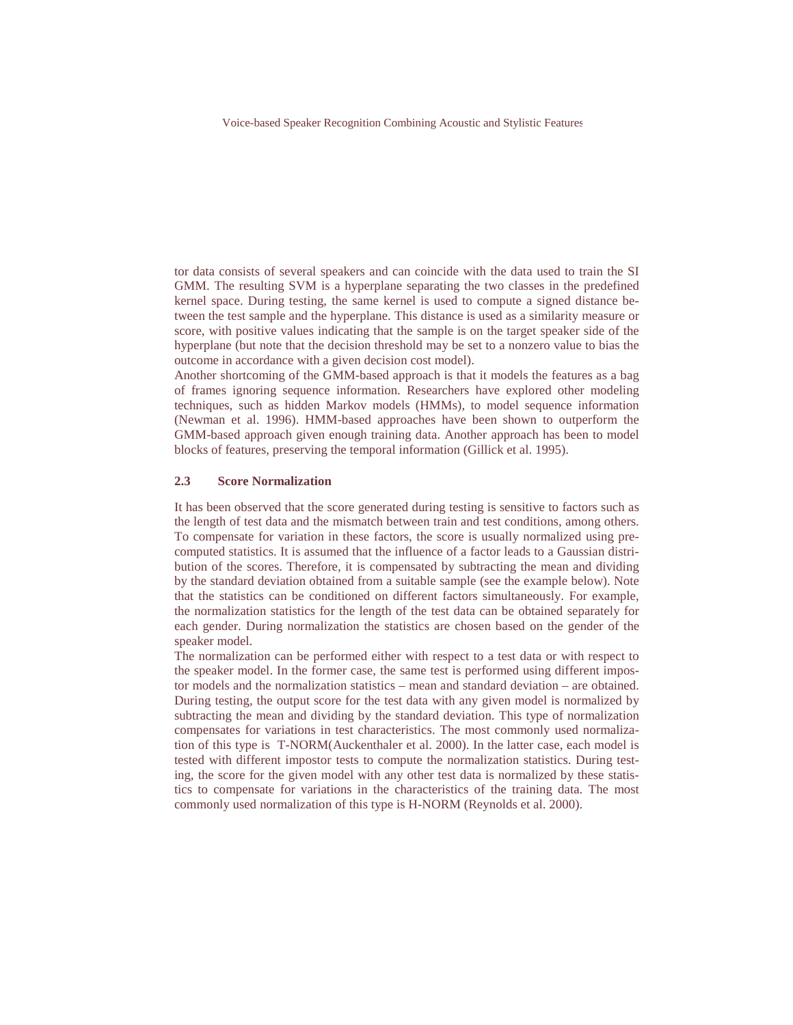tor data consists of several speakers and can coincide with the data used to train the SI GMM. The resulting SVM is a hyperplane separating the two classes in the predefined kernel space. During testing, the same kernel is used to compute a signed distance between the test sample and the hyperplane. This distance is used as a similarity measure or score, with positive values indicating that the sample is on the target speaker side of the hyperplane (but note that the decision threshold may be set to a nonzero value to bias the outcome in accordance with a given decision cost model).

Another shortcoming of the GMM-based approach is that it models the features as a bag of frames ignoring sequence information. Researchers have explored other modeling techniques, such as hidden Markov models (HMMs), to model sequence information (Newman et al. 1996). HMM-based approaches have been shown to outperform the GMM-based approach given enough training data. Another approach has been to model blocks of features, preserving the temporal information (Gillick et al. 1995).

#### **2.3 Score Normalization**

It has been observed that the score generated during testing is sensitive to factors such as the length of test data and the mismatch between train and test conditions, among others. To compensate for variation in these factors, the score is usually normalized using precomputed statistics. It is assumed that the influence of a factor leads to a Gaussian distribution of the scores. Therefore, it is compensated by subtracting the mean and dividing by the standard deviation obtained from a suitable sample (see the example below). Note that the statistics can be conditioned on different factors simultaneously. For example, the normalization statistics for the length of the test data can be obtained separately for each gender. During normalization the statistics are chosen based on the gender of the speaker model.

The normalization can be performed either with respect to a test data or with respect to the speaker model. In the former case, the same test is performed using different impostor models and the normalization statistics – mean and standard deviation – are obtained. During testing, the output score for the test data with any given model is normalized by subtracting the mean and dividing by the standard deviation. This type of normalization compensates for variations in test characteristics. The most commonly used normalization of this type is T-NORM(Auckenthaler et al. 2000). In the latter case, each model is tested with different impostor tests to compute the normalization statistics. During testing, the score for the given model with any other test data is normalized by these statistics to compensate for variations in the characteristics of the training data. The most commonly used normalization of this type is H-NORM (Reynolds et al. 2000).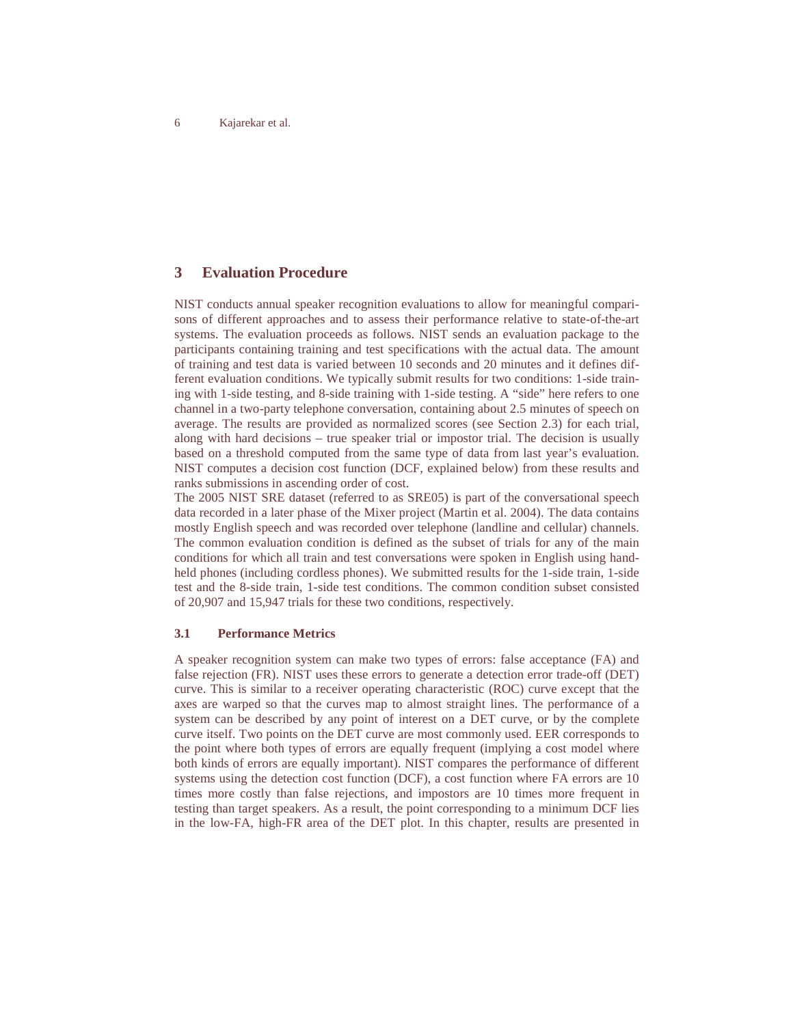# **3 Evaluation Procedure**

NIST conducts annual speaker recognition evaluations to allow for meaningful comparisons of different approaches and to assess their performance relative to state-of-the-art systems. The evaluation proceeds as follows. NIST sends an evaluation package to the participants containing training and test specifications with the actual data. The amount of training and test data is varied between 10 seconds and 20 minutes and it defines different evaluation conditions. We typically submit results for two conditions: 1-side training with 1-side testing, and 8-side training with 1-side testing. A "side" here refers to one channel in a two-party telephone conversation, containing about 2.5 minutes of speech on average. The results are provided as normalized scores (see Section 2.3) for each trial, along with hard decisions – true speaker trial or impostor trial. The decision is usually based on a threshold computed from the same type of data from last year's evaluation. NIST computes a decision cost function (DCF, explained below) from these results and ranks submissions in ascending order of cost.

The 2005 NIST SRE dataset (referred to as SRE05) is part of the conversational speech data recorded in a later phase of the Mixer project (Martin et al. 2004). The data contains mostly English speech and was recorded over telephone (landline and cellular) channels. The common evaluation condition is defined as the subset of trials for any of the main conditions for which all train and test conversations were spoken in English using handheld phones (including cordless phones). We submitted results for the 1-side train, 1-side test and the 8-side train, 1-side test conditions. The common condition subset consisted of 20,907 and 15,947 trials for these two conditions, respectively.

## **3.1 Performance Metrics**

A speaker recognition system can make two types of errors: false acceptance (FA) and false rejection (FR). NIST uses these errors to generate a detection error trade-off (DET) curve. This is similar to a receiver operating characteristic (ROC) curve except that the axes are warped so that the curves map to almost straight lines. The performance of a system can be described by any point of interest on a DET curve, or by the complete curve itself. Two points on the DET curve are most commonly used. EER corresponds to the point where both types of errors are equally frequent (implying a cost model where both kinds of errors are equally important). NIST compares the performance of different systems using the detection cost function (DCF), a cost function where FA errors are 10 times more costly than false rejections, and impostors are 10 times more frequent in testing than target speakers. As a result, the point corresponding to a minimum DCF lies in the low-FA, high-FR area of the DET plot. In this chapter, results are presented in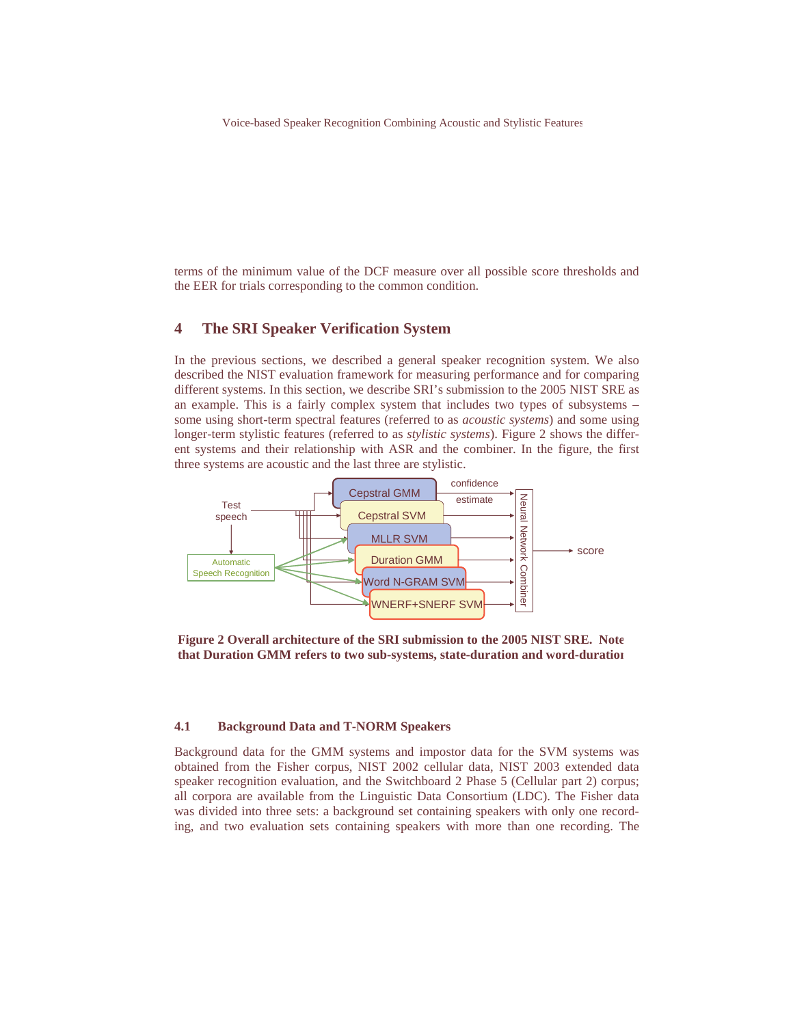terms of the minimum value of the DCF measure over all possible score thresholds and the EER for trials corresponding to the common condition.

## **4 The SRI Speaker Verification System**

In the previous sections, we described a general speaker recognition system. We also described the NIST evaluation framework for measuring performance and for comparing different systems. In this section, we describe SRI's submission to the 2005 NIST SRE as an example. This is a fairly complex system that includes two types of subsystems – some using short-term spectral features (referred to as *acoustic systems*) and some using longer-term stylistic features (referred to as *stylistic systems*). Figure 2 shows the different systems and their relationship with ASR and the combiner. In the figure, the first three systems are acoustic and the last three are stylistic.



**Figure 2 Overall architecture of the SRI submission to the 2005 NIST SRE. Note that Duration GMM refers to two sub-systems, state-duration and word-duration**

#### **4.1 Background Data and T-NORM Speakers**

Background data for the GMM systems and impostor data for the SVM systems was obtained from the Fisher corpus, NIST 2002 cellular data, NIST 2003 extended data speaker recognition evaluation, and the Switchboard 2 Phase 5 (Cellular part 2) corpus; all corpora are available from the Linguistic Data Consortium (LDC). The Fisher data was divided into three sets: a background set containing speakers with only one recording, and two evaluation sets containing speakers with more than one recording. The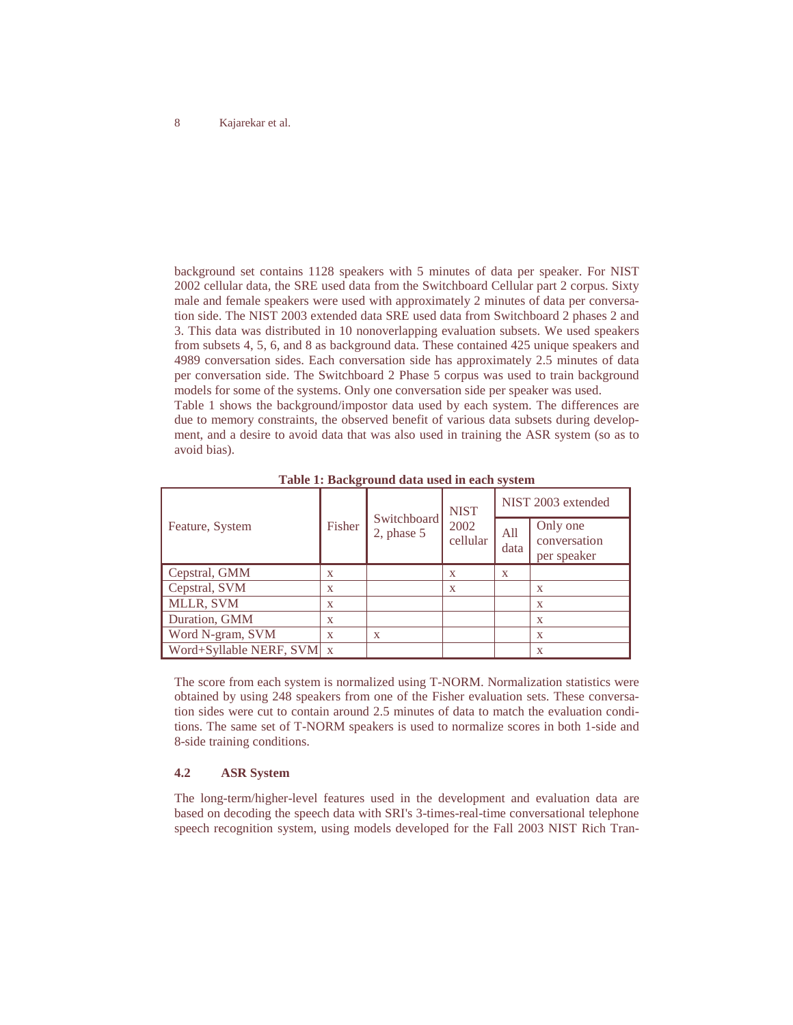background set contains 1128 speakers with 5 minutes of data per speaker. For NIST 2002 cellular data, the SRE used data from the Switchboard Cellular part 2 corpus. Sixty male and female speakers were used with approximately 2 minutes of data per conversation side. The NIST 2003 extended data SRE used data from Switchboard 2 phases 2 and 3. This data was distributed in 10 nonoverlapping evaluation subsets. We used speakers from subsets 4, 5, 6, and 8 as background data. These contained 425 unique speakers and 4989 conversation sides. Each conversation side has approximately 2.5 minutes of data per conversation side. The Switchboard 2 Phase 5 corpus was used to train background models for some of the systems. Only one conversation side per speaker was used.

Table 1 shows the background/impostor data used by each system. The differences are due to memory constraints, the observed benefit of various data subsets during development, and a desire to avoid data that was also used in training the ASR system (so as to avoid bias).

| Feature, System           |        |                                | <b>NIST</b>      | NIST 2003 extended |                                         |  |
|---------------------------|--------|--------------------------------|------------------|--------------------|-----------------------------------------|--|
|                           | Fisher | Switchboard<br>$2$ , phase $5$ | 2002<br>cellular | All<br>data        | Only one<br>conversation<br>per speaker |  |
| Cepstral, GMM             | X      |                                | X                | $\mathbf{x}$       |                                         |  |
| Cepstral, SVM             | X      |                                | X                |                    | X                                       |  |
| MLLR, SVM                 | X      |                                |                  |                    | X                                       |  |
| Duration, GMM             | X      |                                |                  |                    | X                                       |  |
| Word N-gram, SVM          | X      | X                              |                  |                    | X                                       |  |
| Word+Syllable NERF, SVM x |        |                                |                  |                    | X                                       |  |

**Table 1: Background data used in each system**

The score from each system is normalized using T-NORM. Normalization statistics were obtained by using 248 speakers from one of the Fisher evaluation sets. These conversation sides were cut to contain around 2.5 minutes of data to match the evaluation conditions. The same set of T-NORM speakers is used to normalize scores in both 1-side and 8-side training conditions.

#### **4.2 ASR System**

The long-term/higher-level features used in the development and evaluation data are based on decoding the speech data with SRI's 3-times-real-time conversational telephone speech recognition system, using models developed for the Fall 2003 NIST Rich Tran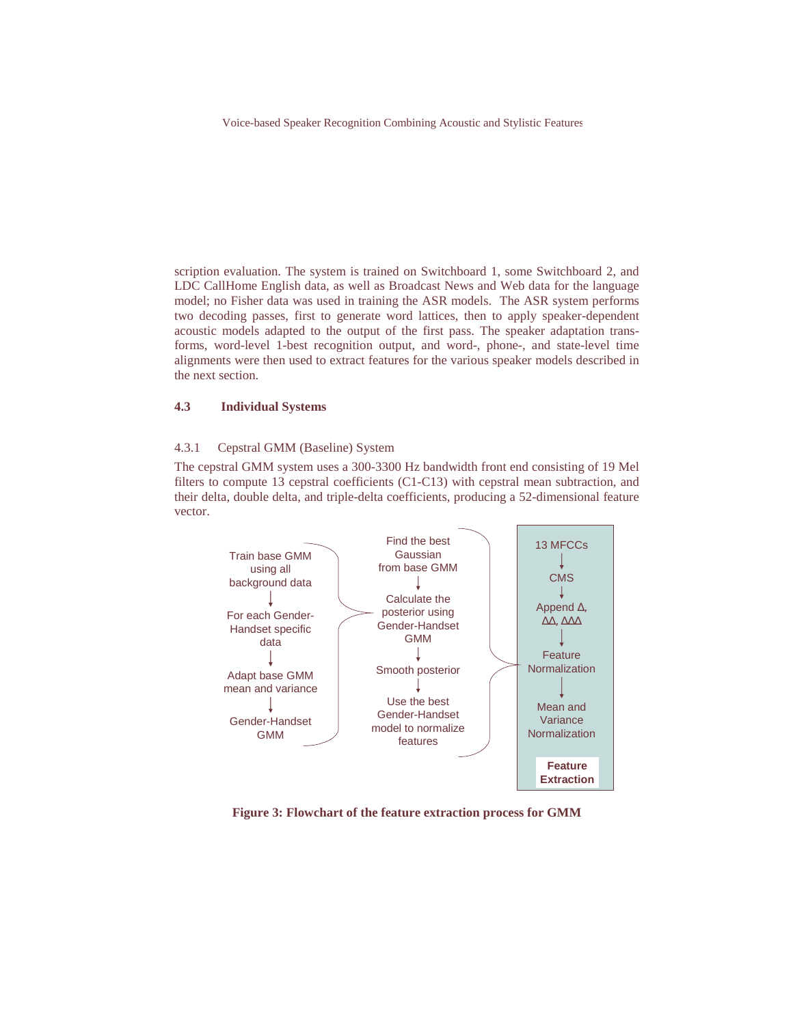scription evaluation. The system is trained on Switchboard 1, some Switchboard 2, and LDC CallHome English data, as well as Broadcast News and Web data for the language model; no Fisher data was used in training the ASR models. The ASR system performs two decoding passes, first to generate word lattices, then to apply speaker-dependent acoustic models adapted to the output of the first pass. The speaker adaptation transforms, word-level 1-best recognition output, and word-, phone-, and state-level time alignments were then used to extract features for the various speaker models described in the next section.

## **4.3 Individual Systems**

# 4.3.1 Cepstral GMM (Baseline) System

The cepstral GMM system uses a 300-3300 Hz bandwidth front end consisting of 19 Mel filters to compute 13 cepstral coefficients (C1-C13) with cepstral mean subtraction, and their delta, double delta, and triple-delta coefficients, producing a 52-dimensional feature vector.



**Figure 3: Flowchart of the feature extraction process for GMM**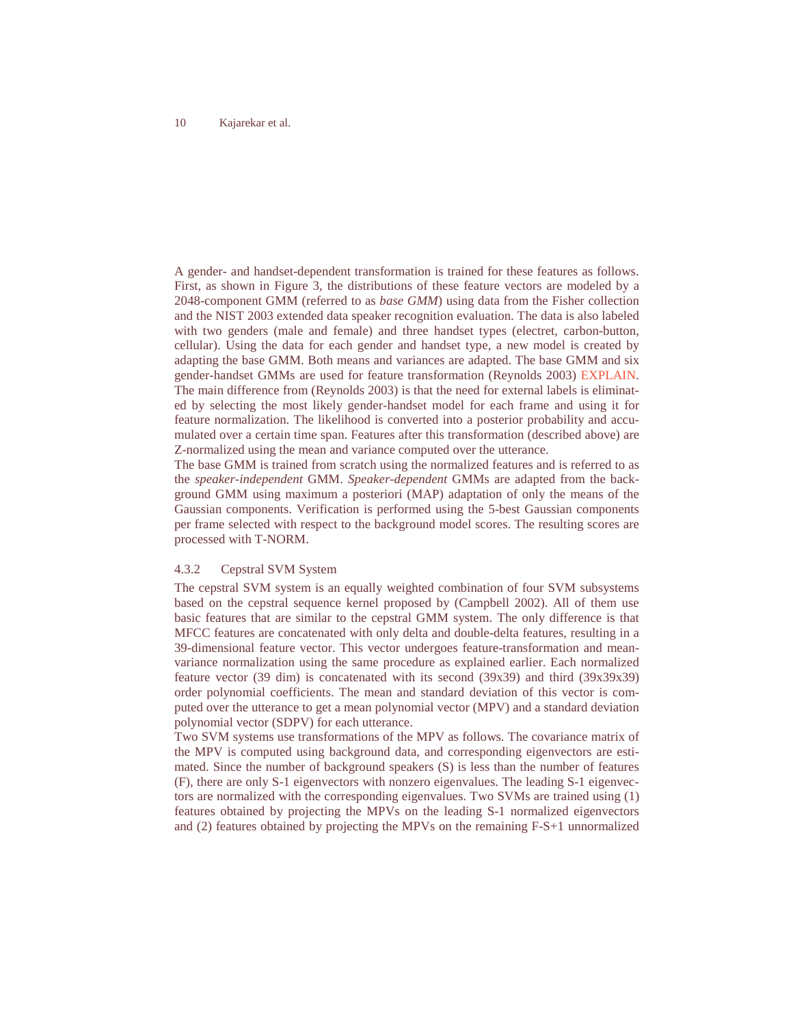A gender- and handset-dependent transformation is trained for these features as follows. First, as shown in Figure 3, the distributions of these feature vectors are modeled by a 2048-component GMM (referred to as *base GMM*) using data from the Fisher collection and the NIST 2003 extended data speaker recognition evaluation. The data is also labeled with two genders (male and female) and three handset types (electret, carbon-button, cellular). Using the data for each gender and handset type, a new model is created by adapting the base GMM. Both means and variances are adapted. The base GMM and six gender-handset GMMs are used for feature transformation (Reynolds 2003) EXPLAIN. The main difference from (Reynolds 2003) is that the need for external labels is eliminated by selecting the most likely gender-handset model for each frame and using it for feature normalization. The likelihood is converted into a posterior probability and accumulated over a certain time span. Features after this transformation (described above) are Z-normalized using the mean and variance computed over the utterance.

The base GMM is trained from scratch using the normalized features and is referred to as the *speaker-independent* GMM. *Speaker-dependent* GMMs are adapted from the background GMM using maximum a posteriori (MAP) adaptation of only the means of the Gaussian components. Verification is performed using the 5-best Gaussian components per frame selected with respect to the background model scores. The resulting scores are processed with T-NORM.

#### 4.3.2 Cepstral SVM System

The cepstral SVM system is an equally weighted combination of four SVM subsystems based on the cepstral sequence kernel proposed by (Campbell 2002). All of them use basic features that are similar to the cepstral GMM system. The only difference is that MFCC features are concatenated with only delta and double-delta features, resulting in a 39-dimensional feature vector. This vector undergoes feature-transformation and meanvariance normalization using the same procedure as explained earlier. Each normalized feature vector (39 dim) is concatenated with its second (39x39) and third (39x39x39) order polynomial coefficients. The mean and standard deviation of this vector is computed over the utterance to get a mean polynomial vector (MPV) and a standard deviation polynomial vector (SDPV) for each utterance.

Two SVM systems use transformations of the MPV as follows. The covariance matrix of the MPV is computed using background data, and corresponding eigenvectors are estimated. Since the number of background speakers (S) is less than the number of features (F), there are only S-1 eigenvectors with nonzero eigenvalues. The leading S-1 eigenvectors are normalized with the corresponding eigenvalues. Two SVMs are trained using (1) features obtained by projecting the MPVs on the leading S-1 normalized eigenvectors and (2) features obtained by projecting the MPVs on the remaining F-S+1 unnormalized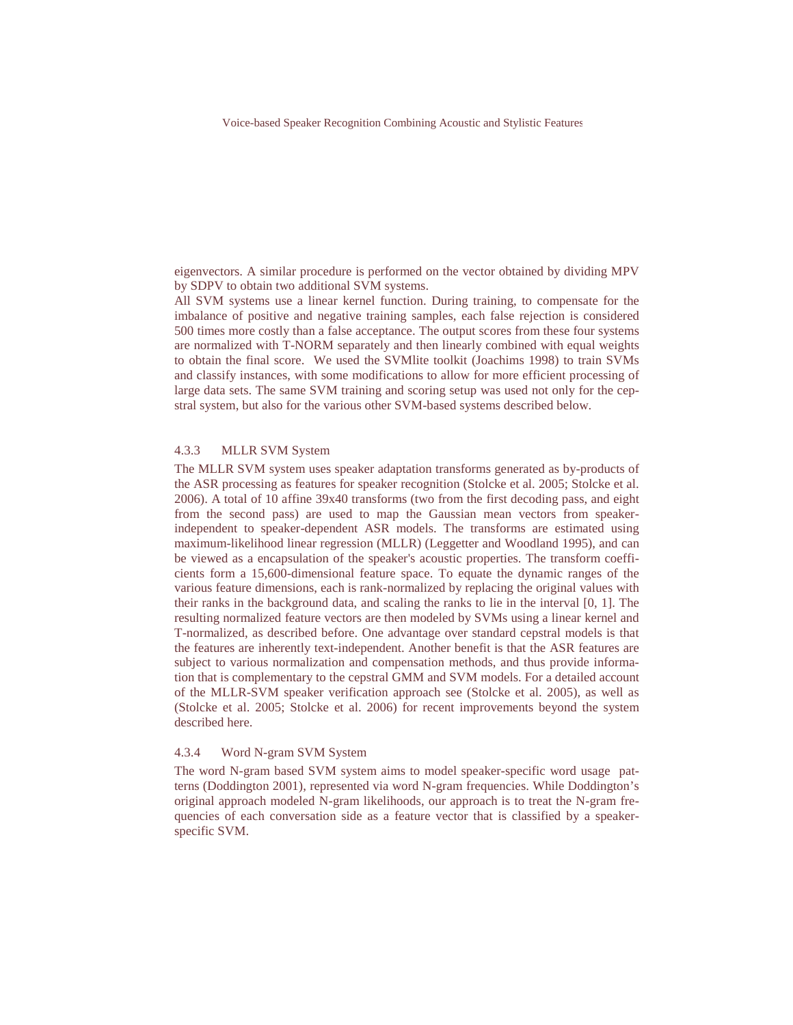eigenvectors. A similar procedure is performed on the vector obtained by dividing MPV by SDPV to obtain two additional SVM systems.

All SVM systems use a linear kernel function. During training, to compensate for the imbalance of positive and negative training samples, each false rejection is considered 500 times more costly than a false acceptance. The output scores from these four systems are normalized with T-NORM separately and then linearly combined with equal weights to obtain the final score. We used the SVMlite toolkit (Joachims 1998) to train SVMs and classify instances, with some modifications to allow for more efficient processing of large data sets. The same SVM training and scoring setup was used not only for the cepstral system, but also for the various other SVM-based systems described below.

#### 4.3.3 MLLR SVM System

The MLLR SVM system uses speaker adaptation transforms generated as by-products of the ASR processing as features for speaker recognition (Stolcke et al. 2005; Stolcke et al. 2006). A total of 10 affine 39x40 transforms (two from the first decoding pass, and eight from the second pass) are used to map the Gaussian mean vectors from speakerindependent to speaker-dependent ASR models. The transforms are estimated using maximum-likelihood linear regression (MLLR) (Leggetter and Woodland 1995), and can be viewed as a encapsulation of the speaker's acoustic properties. The transform coefficients form a 15,600-dimensional feature space. To equate the dynamic ranges of the various feature dimensions, each is rank-normalized by replacing the original values with their ranks in the background data, and scaling the ranks to lie in the interval [0, 1]. The resulting normalized feature vectors are then modeled by SVMs using a linear kernel and T-normalized, as described before. One advantage over standard cepstral models is that the features are inherently text-independent. Another benefit is that the ASR features are subject to various normalization and compensation methods, and thus provide information that is complementary to the cepstral GMM and SVM models. For a detailed account of the MLLR-SVM speaker verification approach see (Stolcke et al. 2005), as well as (Stolcke et al. 2005; Stolcke et al. 2006) for recent improvements beyond the system described here.

### 4.3.4 Word N-gram SVM System

The word N-gram based SVM system aims to model speaker-specific word usage patterns (Doddington 2001), represented via word N-gram frequencies. While Doddington's original approach modeled N-gram likelihoods, our approach is to treat the N-gram frequencies of each conversation side as a feature vector that is classified by a speakerspecific SVM.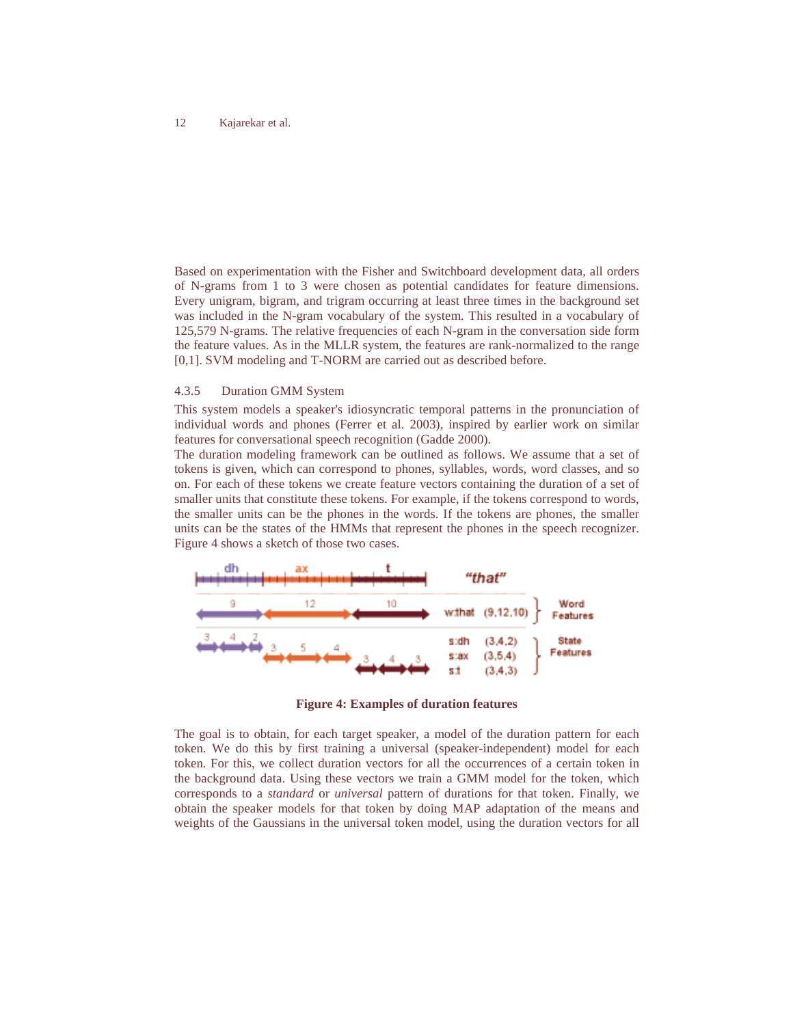#### 12 Kajarekar et al.

Based on experimentation with the Fisher and Switchboard development data, all orders of N-grams from 1 to 3 were chosen as potential candidates for feature dimensions. Every unigram, bigram, and trigram occurring at least three times in the background set was included in the N-gram vocabulary of the system. This resulted in a vocabulary of 125,579 N-grams. The relative frequencies of each N-gram in the conversation side form the feature values. As in the MLLR system, the features are rank-normalized to the range [0,1]. SVM modeling and T-NORM are carried out as described before.

### 4.3.5 Duration GMM System

This system models a speaker's idiosyncratic temporal patterns in the pronunciation of individual words and phones (Ferrer et al. 2003), inspired by earlier work on similar features for conversational speech recognition (Gadde 2000).

The duration modeling framework can be outlined as follows. We assume that a set of tokens is given, which can correspond to phones, syllables, words, word classes, and so on. For each of these tokens we create feature vectors containing the duration of a set of smaller units that constitute these tokens. For example, if the tokens correspond to words, the smaller units can be the phones in the words. If the tokens are phones, the smaller units can be the states of the HMMs that represent the phones in the speech recognizer. Figure 4 shows a sketch of those two cases.



**Figure 4: Examples of duration features**

The goal is to obtain, for each target speaker, a model of the duration pattern for each token. We do this by first training a universal (speaker-independent) model for each token. For this, we collect duration vectors for all the occurrences of a certain token in the background data. Using these vectors we train a GMM model for the token, which corresponds to a *standard* or *universal* pattern of durations for that token. Finally, we obtain the speaker models for that token by doing MAP adaptation of the means and weights of the Gaussians in the universal token model, using the duration vectors for all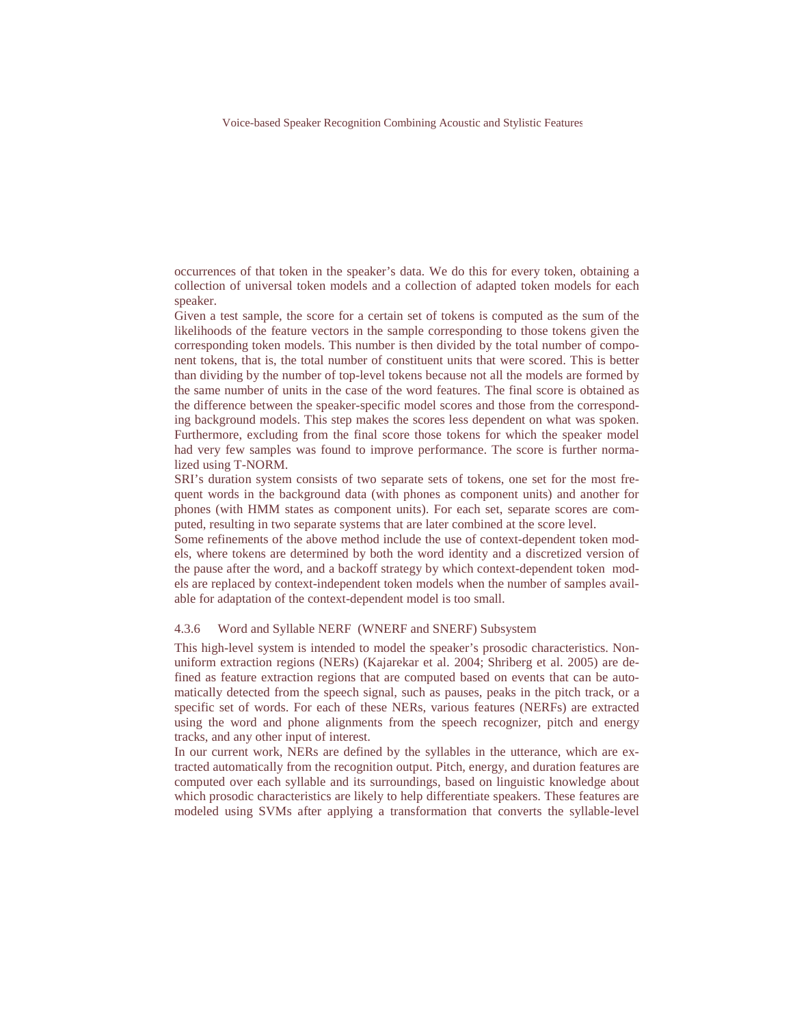occurrences of that token in the speaker's data. We do this for every token, obtaining a collection of universal token models and a collection of adapted token models for each speaker.

Given a test sample, the score for a certain set of tokens is computed as the sum of the likelihoods of the feature vectors in the sample corresponding to those tokens given the corresponding token models. This number is then divided by the total number of component tokens, that is, the total number of constituent units that were scored. This is better than dividing by the number of top-level tokens because not all the models are formed by the same number of units in the case of the word features. The final score is obtained as the difference between the speaker-specific model scores and those from the corresponding background models. This step makes the scores less dependent on what was spoken. Furthermore, excluding from the final score those tokens for which the speaker model had very few samples was found to improve performance. The score is further normalized using T-NORM.

SRI's duration system consists of two separate sets of tokens, one set for the most frequent words in the background data (with phones as component units) and another for phones (with HMM states as component units). For each set, separate scores are computed, resulting in two separate systems that are later combined at the score level.

Some refinements of the above method include the use of context-dependent token models, where tokens are determined by both the word identity and a discretized version of the pause after the word, and a backoff strategy by which context-dependent token models are replaced by context-independent token models when the number of samples available for adaptation of the context-dependent model is too small.

#### 4.3.6 Word and Syllable NERF (WNERF and SNERF) Subsystem

This high-level system is intended to model the speaker's prosodic characteristics. Nonuniform extraction regions (NERs) (Kajarekar et al. 2004; Shriberg et al. 2005) are defined as feature extraction regions that are computed based on events that can be automatically detected from the speech signal, such as pauses, peaks in the pitch track, or a specific set of words. For each of these NERs, various features (NERFs) are extracted using the word and phone alignments from the speech recognizer, pitch and energy tracks, and any other input of interest.

In our current work, NERs are defined by the syllables in the utterance, which are extracted automatically from the recognition output. Pitch, energy, and duration features are computed over each syllable and its surroundings, based on linguistic knowledge about which prosodic characteristics are likely to help differentiate speakers. These features are modeled using SVMs after applying a transformation that converts the syllable-level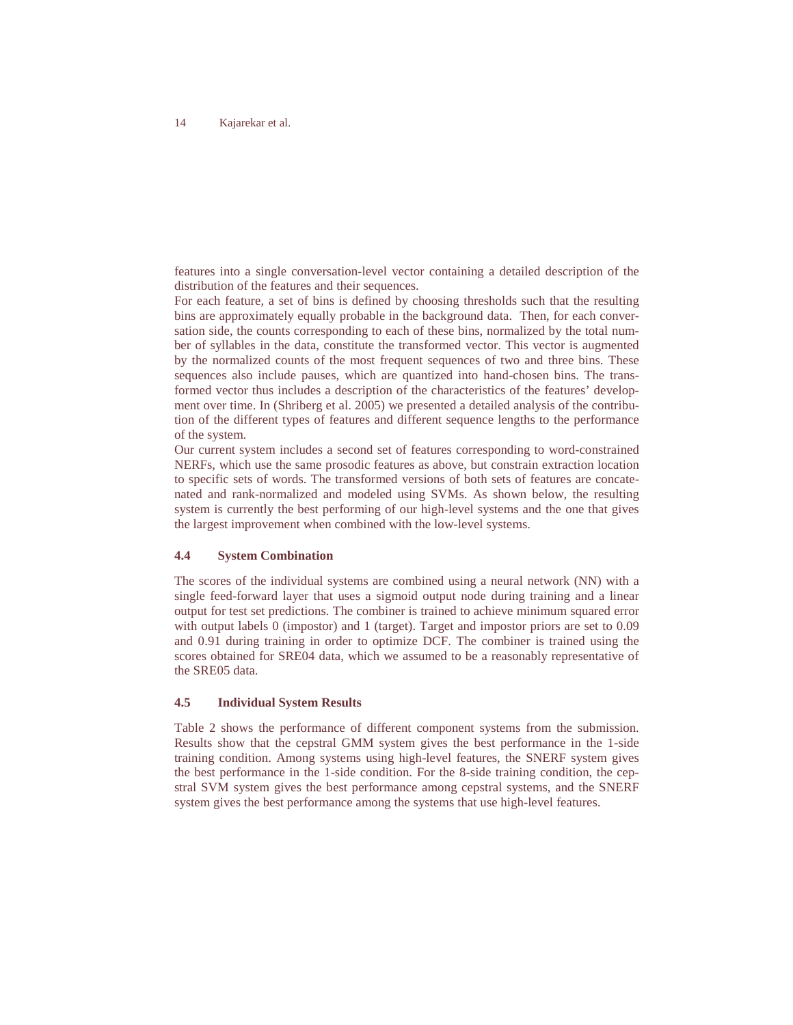features into a single conversation-level vector containing a detailed description of the distribution of the features and their sequences.

For each feature, a set of bins is defined by choosing thresholds such that the resulting bins are approximately equally probable in the background data. Then, for each conversation side, the counts corresponding to each of these bins, normalized by the total number of syllables in the data, constitute the transformed vector. This vector is augmented by the normalized counts of the most frequent sequences of two and three bins. These sequences also include pauses, which are quantized into hand-chosen bins. The transformed vector thus includes a description of the characteristics of the features' development over time. In (Shriberg et al. 2005) we presented a detailed analysis of the contribution of the different types of features and different sequence lengths to the performance of the system.

Our current system includes a second set of features corresponding to word-constrained NERFs, which use the same prosodic features as above, but constrain extraction location to specific sets of words. The transformed versions of both sets of features are concatenated and rank-normalized and modeled using SVMs. As shown below, the resulting system is currently the best performing of our high-level systems and the one that gives the largest improvement when combined with the low-level systems.

#### **4.4 System Combination**

The scores of the individual systems are combined using a neural network (NN) with a single feed-forward layer that uses a sigmoid output node during training and a linear output for test set predictions. The combiner is trained to achieve minimum squared error with output labels 0 (impostor) and 1 (target). Target and impostor priors are set to 0.09 and 0.91 during training in order to optimize DCF. The combiner is trained using the scores obtained for SRE04 data, which we assumed to be a reasonably representative of the SRE05 data.

#### **4.5 Individual System Results**

Table 2 shows the performance of different component systems from the submission. Results show that the cepstral GMM system gives the best performance in the 1-side training condition. Among systems using high-level features, the SNERF system gives the best performance in the 1-side condition. For the 8-side training condition, the cepstral SVM system gives the best performance among cepstral systems, and the SNERF system gives the best performance among the systems that use high-level features.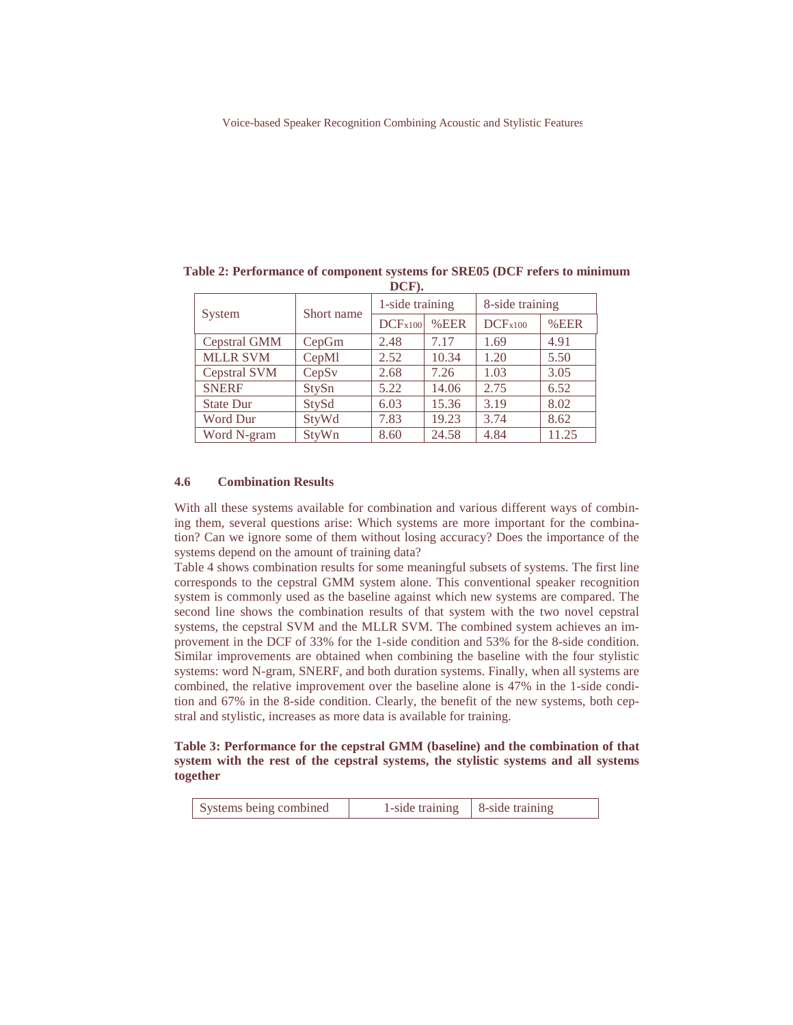| DUN).               |              |                     |       |                     |       |  |  |  |  |
|---------------------|--------------|---------------------|-------|---------------------|-------|--|--|--|--|
|                     | Short name   | 1-side training     |       | 8-side training     |       |  |  |  |  |
| System              |              | DCF <sub>x100</sub> | % EER | DCF <sub>x100</sub> | % EER |  |  |  |  |
| <b>Cepstral GMM</b> | CepGm        | 2.48                | 7.17  | 1.69                | 4.91  |  |  |  |  |
| <b>MLLR SVM</b>     | CepMl        | 2.52                | 10.34 | 1.20                | 5.50  |  |  |  |  |
| <b>Cepstral SVM</b> | CepSv        | 2.68                | 7.26  | 1.03                | 3.05  |  |  |  |  |
| <b>SNERF</b>        | <b>StySn</b> | 5.22                | 14.06 | 2.75                | 6.52  |  |  |  |  |
| <b>State Dur</b>    | StySd        | 6.03                | 15.36 | 3.19                | 8.02  |  |  |  |  |
| Word Dur            | StyWd        | 7.83                | 19.23 | 3.74                | 8.62  |  |  |  |  |
| Word N-gram         | StyWn        | 8.60                | 24.58 | 4.84                | 11.25 |  |  |  |  |

**Table 2: Performance of component systems for SRE05 (DCF refers to minimum DCF).**

#### **4.6 Combination Results**

With all these systems available for combination and various different ways of combining them, several questions arise: Which systems are more important for the combination? Can we ignore some of them without losing accuracy? Does the importance of the systems depend on the amount of training data?

Table 4 shows combination results for some meaningful subsets of systems. The first line corresponds to the cepstral GMM system alone. This conventional speaker recognition system is commonly used as the baseline against which new systems are compared. The second line shows the combination results of that system with the two novel cepstral systems, the cepstral SVM and the MLLR SVM. The combined system achieves an improvement in the DCF of 33% for the 1-side condition and 53% for the 8-side condition. Similar improvements are obtained when combining the baseline with the four stylistic systems: word N-gram, SNERF, and both duration systems. Finally, when all systems are combined, the relative improvement over the baseline alone is 47% in the 1-side condition and 67% in the 8-side condition. Clearly, the benefit of the new systems, both cepstral and stylistic, increases as more data is available for training.

## **Table 3: Performance for the cepstral GMM (baseline) and the combination of that system with the rest of the cepstral systems, the stylistic systems and all systems together**

| Systems being combined | 1-side training $\vert$ 8-side training |  |
|------------------------|-----------------------------------------|--|
|                        |                                         |  |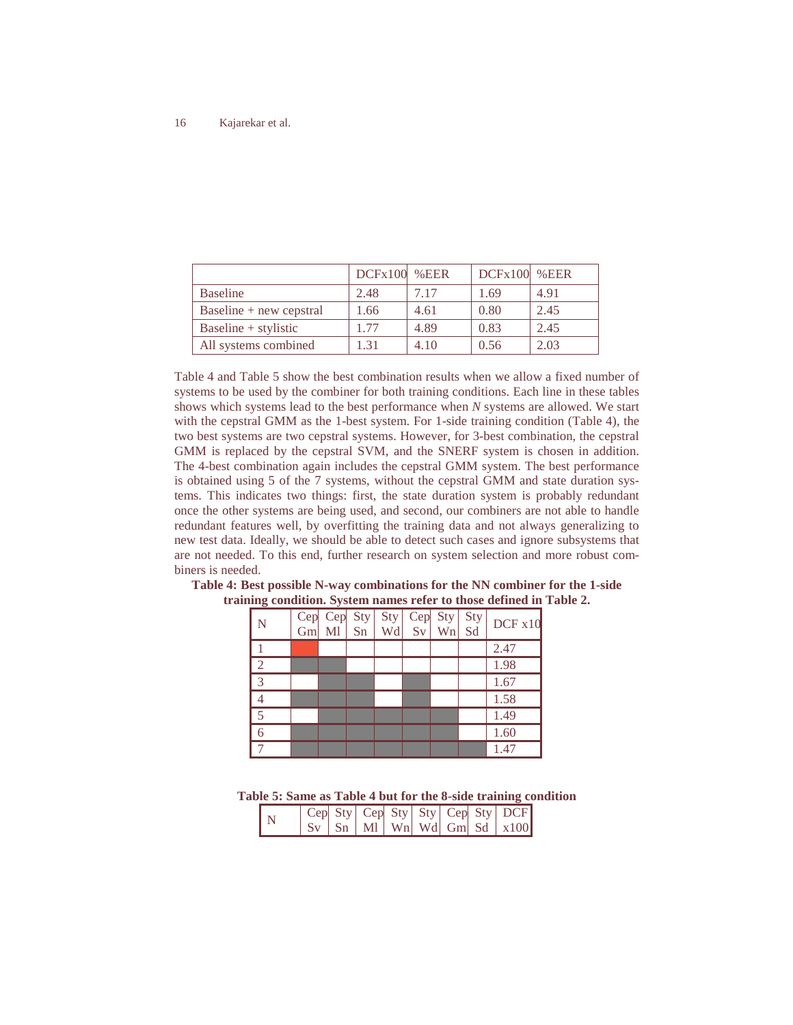|                           | DCFx100 %EER |      | DCFx100 %EER |      |
|---------------------------|--------------|------|--------------|------|
| <b>Baseline</b>           | 2.48         | 7.17 | 1.69         | 4.91 |
| $Baseline + new cepstral$ | 1.66         | 4.61 | 0.80         | 2.45 |
| $Baseline + stylistic$    | l .77        | 4.89 | 0.83         | 2.45 |
| All systems combined      | $-31$        | 4.10 | 0.56         | 2.03 |

Table 4 and Table 5 show the best combination results when we allow a fixed number of systems to be used by the combiner for both training conditions. Each line in these tables shows which systems lead to the best performance when *N* systems are allowed. We start with the cepstral GMM as the 1-best system. For 1-side training condition (Table 4), the two best systems are two cepstral systems. However, for 3-best combination, the cepstral GMM is replaced by the cepstral SVM, and the SNERF system is chosen in addition. The 4-best combination again includes the cepstral GMM system. The best performance is obtained using 5 of the 7 systems, without the cepstral GMM and state duration systems. This indicates two things: first, the state duration system is probably redundant once the other systems are being used, and second, our combiners are not able to handle redundant features well, by overfitting the training data and not always generalizing to new test data. Ideally, we should be able to detect such cases and ignore subsystems that are not needed. To this end, further research on system selection and more robust combiners is needed.

| N          |  |  | Cep Cep Sty Sty Cep Sty Sty<br>Gm Ml Sn Wd Sv Wn Sd |  | DCF x10 |
|------------|--|--|-----------------------------------------------------|--|---------|
|            |  |  |                                                     |  | 2.47    |
| 2          |  |  |                                                     |  | 1.98    |
| $\sqrt{2}$ |  |  |                                                     |  | 1.67    |
|            |  |  |                                                     |  | 1.58    |
|            |  |  |                                                     |  | 1.49    |
|            |  |  |                                                     |  | 1.60    |
|            |  |  |                                                     |  | 1.47    |

**Table 4: Best possible N-way combinations for the NN combiner for the 1-side training condition. System names refer to those defined in Table 2.**

# **Table 5: Same as Table 4 but for the 8-side training condition**

| $\vert N$ |  |  |  | Cep Sty   Cep Sty   Sty   Cep Sty   DCF<br>  Sv   Sn   Ml   Wn   Wd   Gm   Sd   x100 |
|-----------|--|--|--|--------------------------------------------------------------------------------------|
|           |  |  |  |                                                                                      |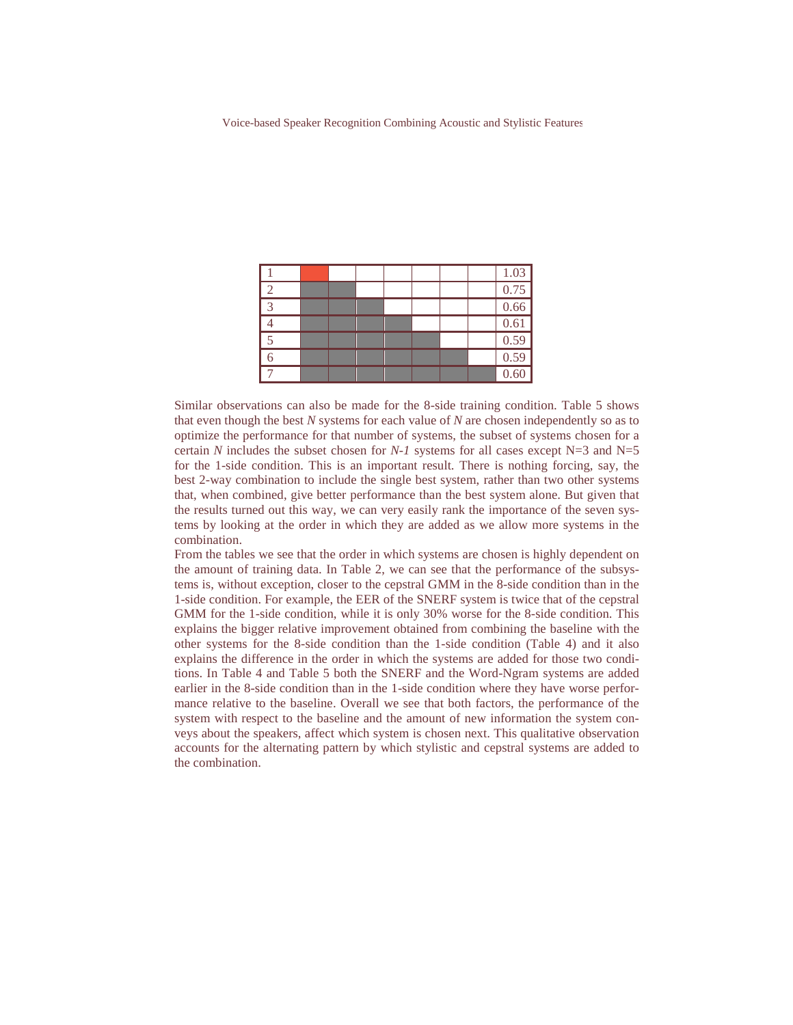|  |  |  |  | 1.03                |
|--|--|--|--|---------------------|
|  |  |  |  | 0.75                |
|  |  |  |  | 0.66                |
|  |  |  |  | 0.61                |
|  |  |  |  | 0.59                |
|  |  |  |  | $\frac{0.59}{0.60}$ |
|  |  |  |  |                     |

Similar observations can also be made for the 8-side training condition. Table 5 shows that even though the best *N* systems for each value of *N* are chosen independently so as to optimize the performance for that number of systems, the subset of systems chosen for a certain *N* includes the subset chosen for *N-1* systems for all cases except  $N=3$  and  $N=5$ for the 1-side condition. This is an important result. There is nothing forcing, say, the best 2-way combination to include the single best system, rather than two other systems that, when combined, give better performance than the best system alone. But given that the results turned out this way, we can very easily rank the importance of the seven systems by looking at the order in which they are added as we allow more systems in the combination.

From the tables we see that the order in which systems are chosen is highly dependent on the amount of training data. In Table 2, we can see that the performance of the subsystems is, without exception, closer to the cepstral GMM in the 8-side condition than in the 1-side condition. For example, the EER of the SNERF system is twice that of the cepstral GMM for the 1-side condition, while it is only 30% worse for the 8-side condition. This explains the bigger relative improvement obtained from combining the baseline with the other systems for the 8-side condition than the 1-side condition (Table 4) and it also explains the difference in the order in which the systems are added for those two conditions. In Table 4 and Table 5 both the SNERF and the Word-Ngram systems are added earlier in the 8-side condition than in the 1-side condition where they have worse performance relative to the baseline. Overall we see that both factors, the performance of the system with respect to the baseline and the amount of new information the system conveys about the speakers, affect which system is chosen next. This qualitative observation accounts for the alternating pattern by which stylistic and cepstral systems are added to the combination.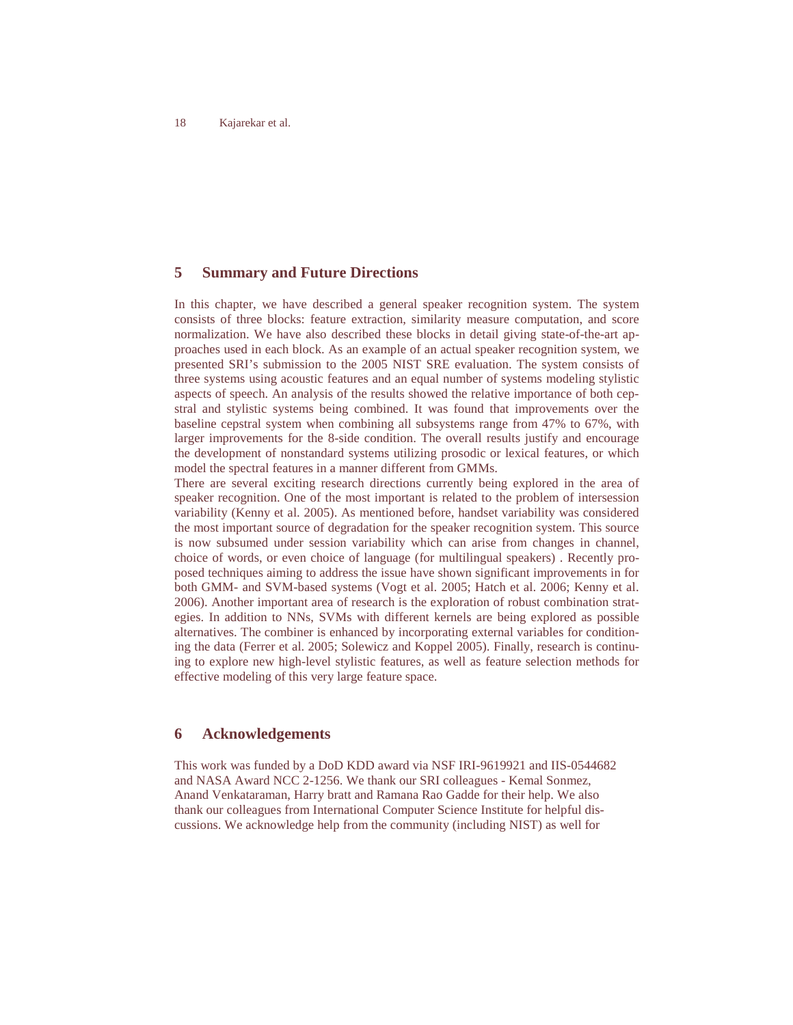# **5 Summary and Future Directions**

In this chapter, we have described a general speaker recognition system. The system consists of three blocks: feature extraction, similarity measure computation, and score normalization. We have also described these blocks in detail giving state-of-the-art approaches used in each block. As an example of an actual speaker recognition system, we presented SRI's submission to the 2005 NIST SRE evaluation. The system consists of three systems using acoustic features and an equal number of systems modeling stylistic aspects of speech. An analysis of the results showed the relative importance of both cepstral and stylistic systems being combined. It was found that improvements over the baseline cepstral system when combining all subsystems range from 47% to 67%, with larger improvements for the 8-side condition. The overall results justify and encourage the development of nonstandard systems utilizing prosodic or lexical features, or which model the spectral features in a manner different from GMMs.

There are several exciting research directions currently being explored in the area of speaker recognition. One of the most important is related to the problem of intersession variability (Kenny et al. 2005). As mentioned before, handset variability was considered the most important source of degradation for the speaker recognition system. This source is now subsumed under session variability which can arise from changes in channel, choice of words, or even choice of language (for multilingual speakers) . Recently proposed techniques aiming to address the issue have shown significant improvements in for both GMM- and SVM-based systems (Vogt et al. 2005; Hatch et al. 2006; Kenny et al. 2006). Another important area of research is the exploration of robust combination strategies. In addition to NNs, SVMs with different kernels are being explored as possible alternatives. The combiner is enhanced by incorporating external variables for conditioning the data (Ferrer et al. 2005; Solewicz and Koppel 2005). Finally, research is continuing to explore new high-level stylistic features, as well as feature selection methods for effective modeling of this very large feature space.

## **6 Acknowledgements**

This work was funded by a DoD KDD award via NSF IRI-9619921 and IIS-0544682 and NASA Award NCC 2-1256. We thank our SRI colleagues - Kemal Sonmez, Anand Venkataraman, Harry bratt and Ramana Rao Gadde for their help. We also thank our colleagues from International Computer Science Institute for helpful discussions. We acknowledge help from the community (including NIST) as well for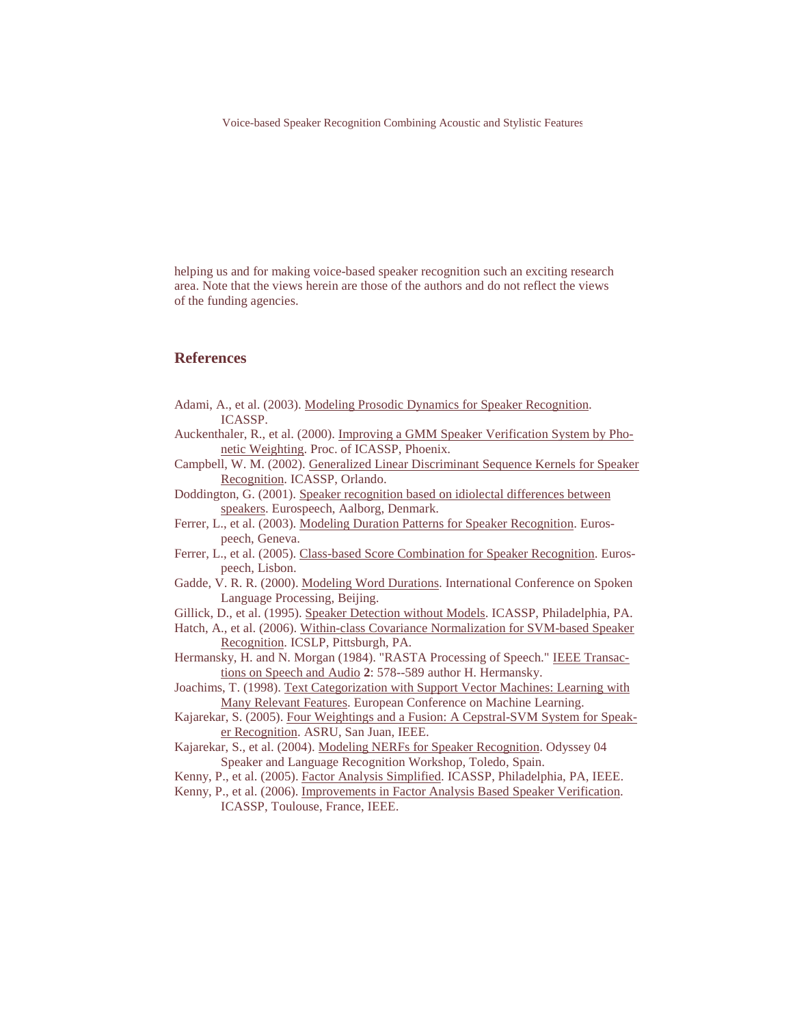Voice-based Speaker Recognition Combining Acoustic and Stylistic Features

helping us and for making voice-based speaker recognition such an exciting research area. Note that the views herein are those of the authors and do not reflect the views of the funding agencies.

# **References**

- Adami, A., et al. (2003). Modeling Prosodic Dynamics for Speaker Recognition. ICASSP.
- Auckenthaler, R., et al. (2000). Improving a GMM Speaker Verification System by Phonetic Weighting. Proc. of ICASSP, Phoenix.
- Campbell, W. M. (2002). Generalized Linear Discriminant Sequence Kernels for Speaker Recognition. ICASSP, Orlando.
- Doddington, G. (2001). Speaker recognition based on idiolectal differences between speakers. Eurospeech, Aalborg, Denmark.
- Ferrer, L., et al. (2003). Modeling Duration Patterns for Speaker Recognition. Eurospeech, Geneva.
- Ferrer, L., et al. (2005). Class-based Score Combination for Speaker Recognition. Eurospeech, Lisbon.
- Gadde, V. R. R. (2000). Modeling Word Durations. International Conference on Spoken Language Processing, Beijing.
- Gillick, D., et al. (1995). Speaker Detection without Models. ICASSP, Philadelphia, PA.
- Hatch, A., et al. (2006). Within-class Covariance Normalization for SVM-based Speaker Recognition. ICSLP, Pittsburgh, PA.
- Hermansky, H. and N. Morgan (1984). "RASTA Processing of Speech." IEEE Transactions on Speech and Audio **2**: 578--589 author H. Hermansky.
- Joachims, T. (1998). Text Categorization with Support Vector Machines: Learning with Many Relevant Features. European Conference on Machine Learning.
- Kajarekar, S. (2005). Four Weightings and a Fusion: A Cepstral-SVM System for Speaker Recognition. ASRU, San Juan, IEEE.
- Kajarekar, S., et al. (2004). Modeling NERFs for Speaker Recognition. Odyssey 04 Speaker and Language Recognition Workshop, Toledo, Spain.
- Kenny, P., et al. (2005). Factor Analysis Simplified. ICASSP, Philadelphia, PA, IEEE.
- Kenny, P., et al. (2006). Improvements in Factor Analysis Based Speaker Verification. ICASSP, Toulouse, France, IEEE.